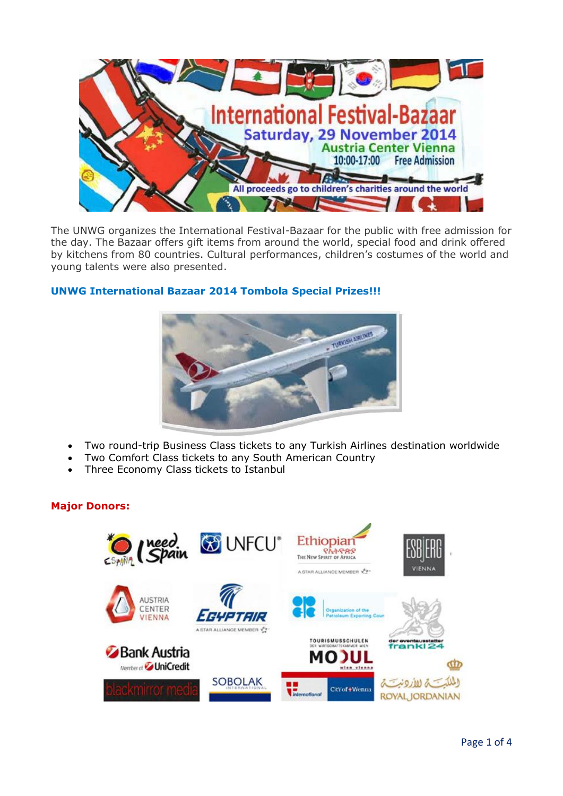

The UNWG organizes the International Festival-Bazaar for the public with free admission for the day. The Bazaar offers gift items from around the world, special food and drink offered by kitchens from 80 countries. Cultural performances, children's costumes of the world and young talents were also presented.

## **UNWG International Bazaar 2014 Tombola Special Prizes!!!**



- Two round-trip Business Class tickets to any Turkish Airlines destination worldwide
- Two Comfort Class tickets to any South American Country
- Three Economy Class tickets to Istanbul

# **Major Donors:**

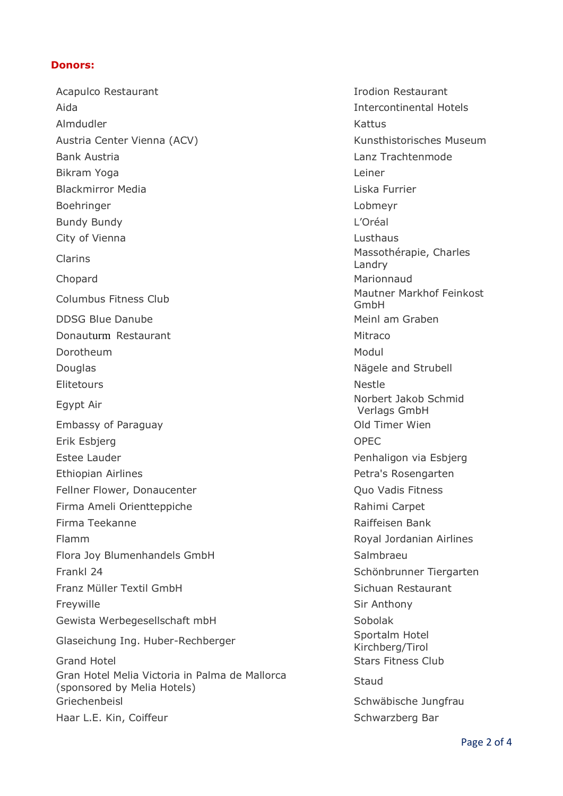### **Donors:**

Acapulco Restaurant **International Acapulco Restaurant** Aida Intercontinental Hotels Almdudler Kattus Austria Center Vienna (ACV) and the Controller Controller Kunsthistorisches Museum Bank Austria **Lanz Trachtenmode** Bikram Yoga Leiner Blackmirror Media **Liska Furrier** Communication and Liska Furrier Boehringer Lobmeyr Bundy Bundy **Bundy Contract Contract Contract Contract Contract Contract Contract Contract Contract Contract Contract Contract Contract Contract Contract Contract Contract Contract Contract Contract Contract Contract Con** City of Vienna **Lusthaus** Clarins Massothérapie, Charles Chopard **Marionnaud** Marionnaud Columbus Fitness Club Mautner Markhof Feinkost DDSG Blue Danube Meinl am Graben Donauturm Restaurant Mitraco Dorotheum Modul and the Modul and the Modul and Modul and Modul and Modul and Modul and Modul and Modul and Mo Douglas **Nägele and Strubell Nägele and Strubell** Elitetours Nestle Egypt Air Norbert Jakob Schmid<br>
Norbert Jakob Schmid<br>
Narlege Crebt L Embassy of Paraguay **Contract Contract Contract Contract Contract Contract Contract Contract Contract Contract Contract Contract Contract Contract Contract Contract Contract Contract Contract Contract Contract Contract Con** Erik Esbjerg OPEC Estee Lauder **Penhaligon via Esbjerg** Penhaligon via Esbjerg Ethiopian Airlines **Petra's Rosengarten** Fellner Flower, Donaucenter **Communist Communist Canadia** Cuo Vadis Fitness Firma Ameli Orientteppiche Rahimi Carpet Firma Teekanne **Raiffeisen Bank** Flamm Royal Jordanian Airlines Flora Joy Blumenhandels GmbH Salmbraeu Frankl 24 Schönbrunner Tiergarten Franz Müller Textil GmbH Sichuan Restaurant Freywille **Sir Anthony** Gewista Werbegesellschaft mbH<br>
Sobolak Glaseichung Ing. Huber-Rechberger Sportalm Hotel Sportalm Hotel Grand Hotel **Stars Fitness Club** Gran Hotel Melia Victoria in Palma de Mallorca Gran Hotel Melia Victoria in Palifia de Mallorca<br>(sponsored by Melia Hotels) Griechenbeisl Schwäbische Jungfrau Schwäbische Jungfrau Haar L.E. Kin, Coiffeur Schwarzberg Bar

Landry GmbH Verlags GmbH Kirchberg/Tirol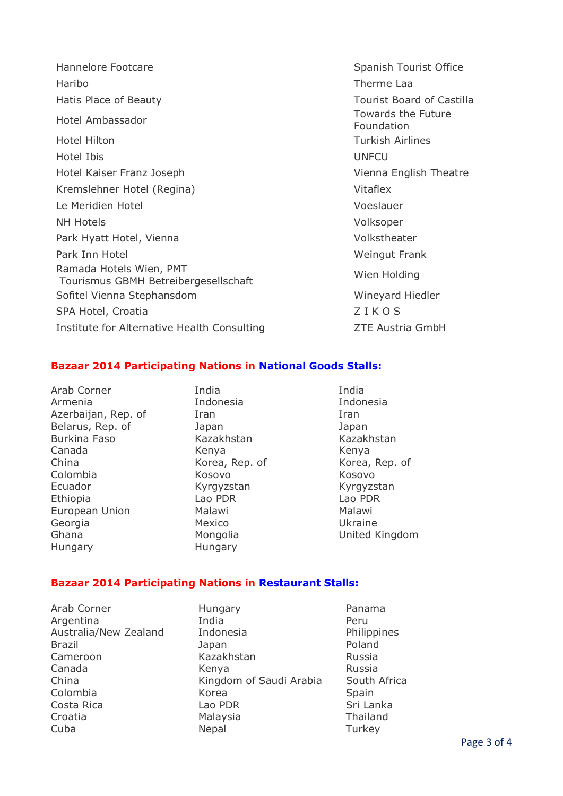| Hannelore Footcare                                              | Spanish          |
|-----------------------------------------------------------------|------------------|
| Haribo                                                          | Therme           |
| Hatis Place of Beauty                                           | Tourist          |
| Hotel Ambassador                                                | Toward<br>Founda |
| <b>Hotel Hilton</b>                                             | Turkish          |
| Hotel Ibis                                                      | <b>UNFCU</b>     |
| Hotel Kaiser Franz Joseph                                       | Vienna           |
| Kremslehner Hotel (Regina)                                      | Vitaflex         |
| Le Meridien Hotel                                               | Voeslau          |
| <b>NH Hotels</b>                                                | Volksop          |
| Park Hyatt Hotel, Vienna                                        | Volksth          |
| Park Inn Hotel                                                  | Weingu           |
| Ramada Hotels Wien, PMT<br>Tourismus GBMH Betreibergesellschaft | Wien Ho          |
| Sofitel Vienna Stephansdom                                      | Wineya           |
| SPA Hotel, Croatia                                              | ZIKO             |
| Institute for Alternative Health Consulting                     | ZTE Aus          |

Spanish Tourist Office Therme Laa Tourist Board of Castilla Towards the Future Foundation **Turkish Airlines** Vienna English Theatre Voeslauer Volksoper Volkstheater **Weingut Frank** Wien Holding Wineyard Hiedler ZIKOS q **Institute For Alternative Health Consulting Consulting Consulting Consulting Consulting Consulting Consulting** 

#### **Bazaar 2014 Participating Nations in National Goods Stalls:**

Arab Corner **India** India Armenia Indonesia Indonesia Azerbaijan, Rep. of Iran Iran Iran Iran Belarus, Rep. of **Japan Japan Japan Japan** Japan Burkina Faso Kazakhstan Kazakhstan Kazakhstan Canada Kenya Kenya China **Korea, Rep. of** Korea, Rep. of Korea, Rep. of Colombia Kosovo Kosovo Ecuador Kyrgyzstan Kyrgyzstan Kyrgyzstan Ethiopia Lao PDR Lao PDR European Union Malawi Malawi Malawi Georgia **Mexico** Mexico **Ukraine** Ghana Mongolia United Kingdom Hungary Hungary

#### **Bazaar 2014 Participating Nations in Restaurant Stalls:**

Arab Corner **Hungary** Panama

Argentina India Peru Australia/New Zealand Indonesia **Indonesia** Philippines Brazil **Brazil Brazil Brazil Brazil Brazil Poland** Cameroon Kazakhstan Russia Canada Kenya Kenya Russia China Kingdom of Saudi Arabia South Africa Colombia **Korea** Korea Spain Costa Rica **Lao PDR** Sri Lanka Croatia Malaysia Thailand Cuba **Nepal** Nepal Turkey